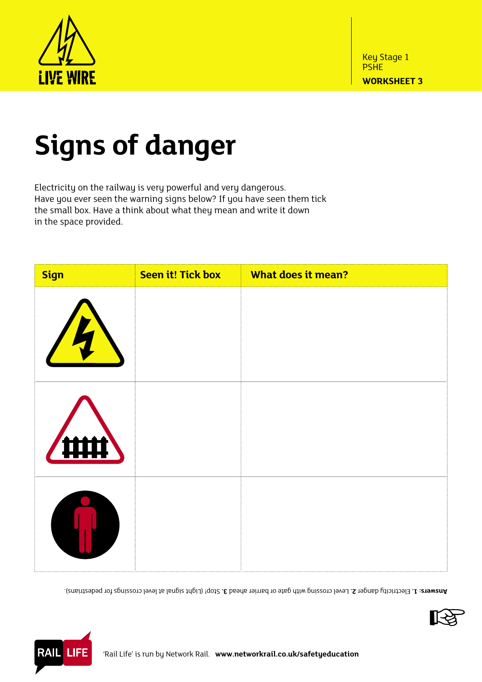

## **Signs of danger**

Electricity on the railway is very powerful and very dangerous. Have you ever seen the warning signs below? If you have seen them tick the small box. Have a think about what they mean and write it down in the space provided.

| <b>Sign</b>    | <b>Seen it! Tick box</b> | <b>What does it mean?</b> |
|----------------|--------------------------|---------------------------|
| $\overline{A}$ |                          |                           |
|                |                          |                           |
|                |                          |                           |

Stop! (Light signal at level crossings for pedestrians). **3.** Level crossing with gate or barrier ahead **2.** Electricity danger **1. Answers:**